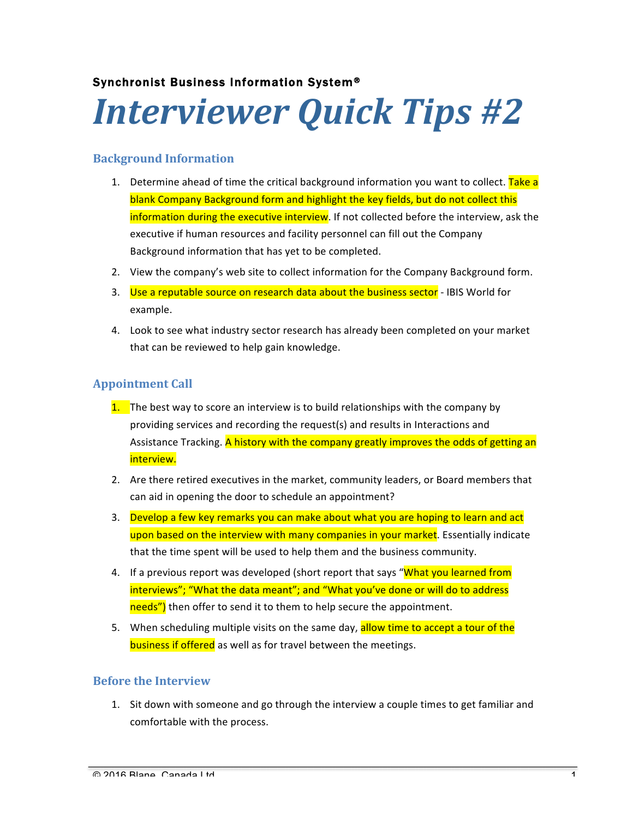## Synchronist Business Information System®

# *Interviewer Quick Tips #2*

#### **Background Information**

- 1. Determine ahead of time the critical background information you want to collect. Take a blank Company Background form and highlight the key fields, but do not collect this information during the executive interview. If not collected before the interview, ask the executive if human resources and facility personnel can fill out the Company Background information that has yet to be completed.
- 2. View the company's web site to collect information for the Company Background form.
- 3. Use a reputable source on research data about the business sector IBIS World for example.
- 4. Look to see what industry sector research has already been completed on your market that can be reviewed to help gain knowledge.

## **Appointment Call**

- 1. The best way to score an interview is to build relationships with the company by providing services and recording the request(s) and results in Interactions and Assistance Tracking. A history with the company greatly improves the odds of getting an interview.
- 2. Are there retired executives in the market, community leaders, or Board members that can aid in opening the door to schedule an appointment?
- 3. Develop a few key remarks you can make about what you are hoping to learn and act upon based on the interview with many companies in your market. Essentially indicate that the time spent will be used to help them and the business community.
- 4. If a previous report was developed (short report that says "What you learned from interviews"; "What the data meant"; and "What you've done or will do to address needs") then offer to send it to them to help secure the appointment.
- 5. When scheduling multiple visits on the same day, allow time to accept a tour of the **business if offered** as well as for travel between the meetings.

## **Before the Interview**

1. Sit down with someone and go through the interview a couple times to get familiar and comfortable with the process.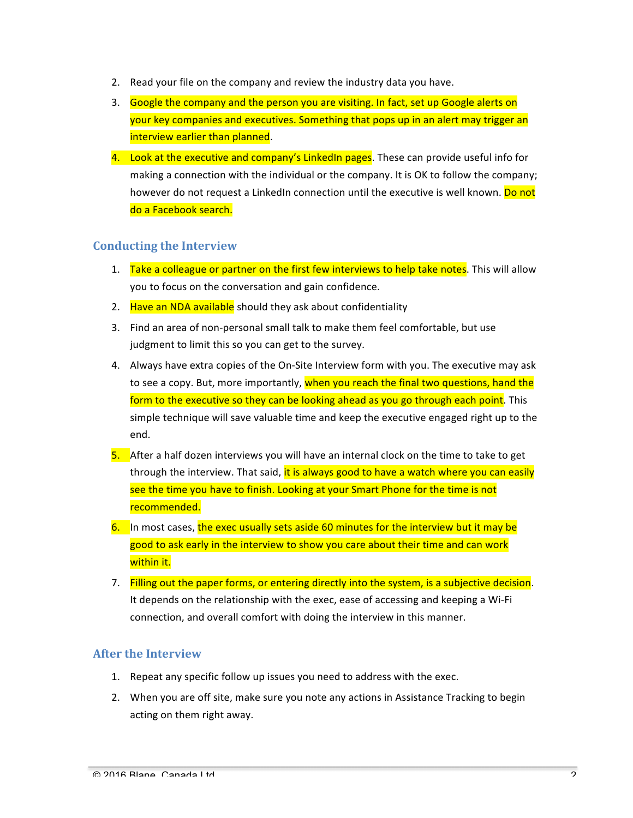- 2. Read your file on the company and review the industry data you have.
- 3. Google the company and the person you are visiting. In fact, set up Google alerts on your key companies and executives. Something that pops up in an alert may trigger an interview earlier than planned.
- 4. Look at the executive and company's LinkedIn pages. These can provide useful info for making a connection with the individual or the company. It is OK to follow the company; however do not request a LinkedIn connection until the executive is well known. Do not do a Facebook search.

#### **Conducting the Interview**

- 1. Take a colleague or partner on the first few interviews to help take notes. This will allow you to focus on the conversation and gain confidence.
- 2. Have an NDA available should they ask about confidentiality
- 3. Find an area of non-personal small talk to make them feel comfortable, but use judgment to limit this so you can get to the survey.
- 4. Always have extra copies of the On-Site Interview form with you. The executive may ask to see a copy. But, more importantly, when you reach the final two questions, hand the form to the executive so they can be looking ahead as you go through each point. This simple technique will save valuable time and keep the executive engaged right up to the end.
- 5. After a half dozen interviews you will have an internal clock on the time to take to get through the interview. That said, it is always good to have a watch where you can easily see the time you have to finish. Looking at your Smart Phone for the time is not recommended.
- $6.$  In most cases, the exec usually sets aside 60 minutes for the interview but it may be good to ask early in the interview to show you care about their time and can work within it.
- 7. Filling out the paper forms, or entering directly into the system, is a subjective decision. It depends on the relationship with the exec, ease of accessing and keeping a Wi-Fi connection, and overall comfort with doing the interview in this manner.

#### **After the Interview**

- 1. Repeat any specific follow up issues you need to address with the exec.
- 2. When you are off site, make sure you note any actions in Assistance Tracking to begin acting on them right away.